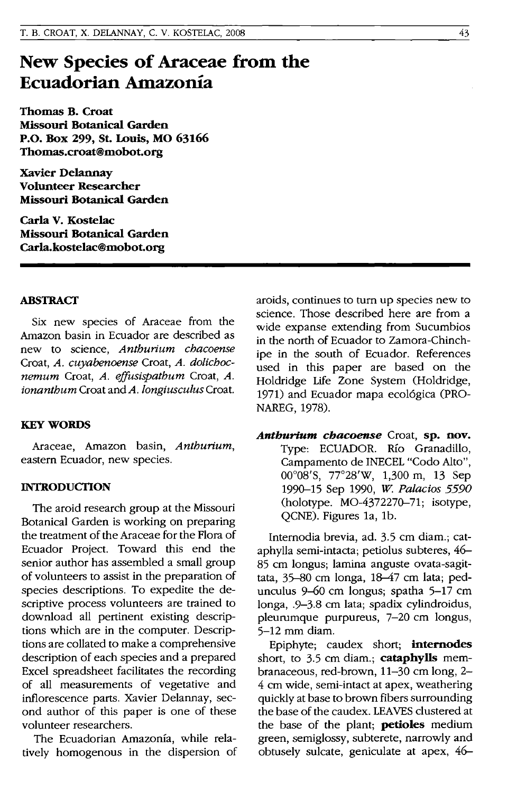# **New Species of Araceae from the Ecuadorian Amazonia**

**Thomas B. Croat Missouri Botanical Garden P.O. Box 299, St. Louis, MO 63166 Thomas.croat@mobot.org** 

**xavier DeIannay Volunteer Researcher Missouri Botanical Garden** 

**Carla V. Kostelac Missouri Botanical Garden Carla.kostelac@mobot.org** 

### **ABSTRACT**

Six new species of Araceae from the Amazon basin in Ecuador are described as new to science, *Anthurium chacoense*  Croat, *A. cuyabenoense* Croat, *A. dolichocnemum* Croat, *A. effusispathum* Croat, *A. ionanthum* Croat and *A. longiusculus* Croat.

#### **KEYWORDS**

Araceae, Amazon basin, *Anthurium,*  eastern Ecuador, new species.

## **INTRODUCTION**

The aroid research group at the Missouri Botanical Garden is working on preparing the treatment of the Araceae for the Flora of Ecuador Project. Toward this end the senior author has assembled a small group of volunteers to assist in the preparation of species descriptions. To expedite the descriptive process volunteers are trained to download all pertinent existing descriptions which are in the computer. Descriptions are collated to make a comprehensive description of each species and a prepared Excel spreadsheet facilitates the recording of all measurements of vegetative and inflorescence parts. Xavier Delannay, second author of this paper is one of these volunteer researchers.

The Ecuadorian Amazonia, while relatively homogenous in the dispersion of aroids, continues to turn up species new to science. Those described here are from a wide expanse extending from Sucumbios in the north of Ecuador to Zamora-Chinchipe in the south of Ecuador. References used in this paper are based on the Holdridge Life Zone System (Holdridge, 1971) and Ecuador mapa ecol6gica (PRO-NAREG, 1978).

*Anthuriurn chacoense* Croat, **sp. nov.**  Type: ECUADOR. Rio Granadillo, Campamento de lNECEL "Codo Alto", 00008'S, 77°28'W, 1,300 m, 13 Sep 1990-15 Sep 1990, *W Palacios 5590*  (holotype. MO-4372270-71; isotype, QCNE). Figures la, lb.

Internodia brevia, ad. 3.5 cm diam.; cataphylla semi-intacta; petiolus subteres, 46- 85 cm longus; lamina anguste ovata-sagittata, 35-80 cm longa, 18-47 cm lata; pedunculus 9-60 cm longus; spatha 5-17 cm ionga, .9-3.8 cm lata; spadix cylindroidus, pleurumque purpureus, 7-20 cm longus, 5-12 mm diam.

Epiphyte; caudex short; **internodes**  short, to 3.5 cm diam.; **cataphylls** membranaceous, red-brown, 11-30 cm long, 2- 4 cm wide, semi-intact at apex, weathering quickly at base to brown fibers surrounding the base of the caudex. LEAVES clustered at the base of the plant; **petioles** medium green, semiglossy, subterete, narrowly and obtusely sulcate, geniculate at apex, 46-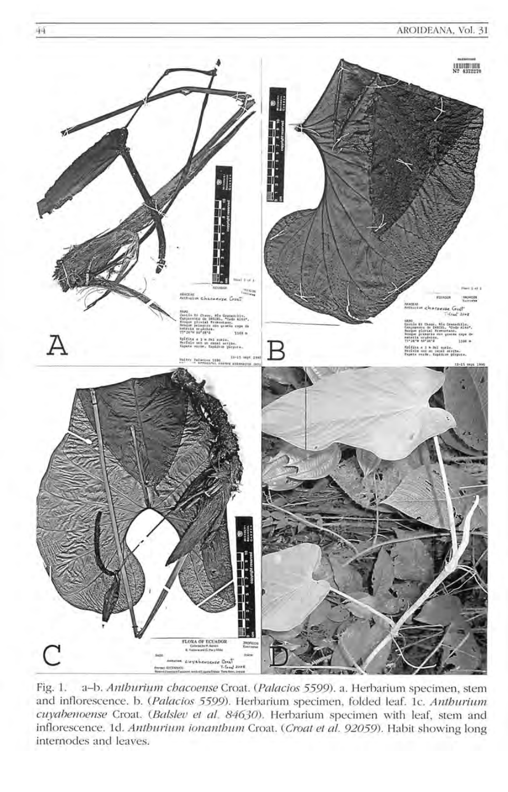

44

Fig. 1. a-b. Anthurium chacoense Croat. (Palacios 5599). a. Herbarium specimen, stem and inflorescence. b. (Palacios 5599). Herbarium specimen, folded leaf. 1c. Anthurium cuyahenoense Croat. (Balslev et al. 84630). Herbarium specimen with leaf, stem and inflorescence. 1d. Anthurium ionanthum Croat. (Croat et al. 92059). Habit showing long internodes and leaves.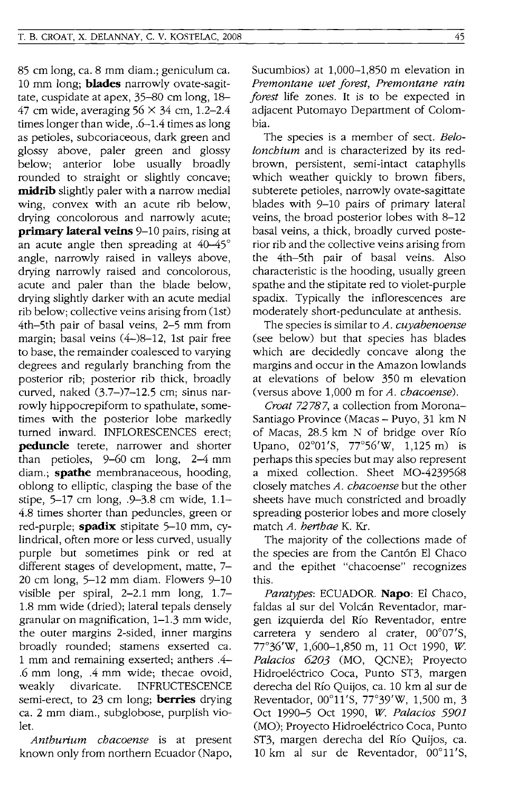85 cm long, ca. 8 mm diam.; geniculum ca. 10 mm long; **blades** narrowly ovate-sagittate, cuspidate at apex, 35-80 cm long, 18- 47 cm wide, averaging  $56 \times 34$  cm, 1.2-2.4 times longer than wide, .6-1.4 times as long as petioles, subcoriaceous, dark green and glossy above, paler green and glossy below; anterior lobe usually broadly rounded to straight or slightly concave; **midrib** slightly paler with a narrow medial wing, convex with an acute rib below, drying concolorous and narrowly acute; **primary lateral veins** 9-10 pairs, rising at an acute angle then spreading at 40-45° angle, narrowly raised in valleys above, drying narrowly raised and concolorous, acute and paler than the blade below, drying slightly darker with an acute medial rib below: collective veins arising from (1st) 4th-5th pair of basal veins, 2-5 mm from margin; basal veins (4-)8-12, 1st pair free to base, the remainder coalesced to varying degrees and regularly branching from the posterior rib; posterior rib thick, broadly curved, naked (3.7-)7-12.5 cm; sinus narrowly hippocrepiform to spathulate, sometimes with the posterior lobe markedly turned inward. INFLORESCENCES erect; **peduncle** terete, narrower and shorter than petioles, 9-60 cm long, 2-4 mm diam.; **spathe** membranaceous, hooding, oblong to elliptic, clasping the base of the stipe, 5-17 cm long, .9-3.8 cm wide, 1.1- 4.8 times shorter than peduncles, green or red-purple; **spadix** stipitate 5-10 mm, cylindrical, often more or less curved, usually purple but sometimes pink or red at different stages of development, matte, 7- 20 cm long, 5-12 mm diam. Flowers 9-10 visible per spiral, 2-2.1 mm long, 1.7- 1.8 mm wide (dried); lateral tepals densely granular on magnification, 1-1.3 mm wide, the outer margins 2-sided, inner margins broadly rounded; stamens exserted ca. 1 mm and remaining exserted; anthers .4- .6 mm long, .4 mm wide; thecae ovoid, weakly divaricate. INFRUCTESCENCE semi-erect, to 23 cm long; **berries** drying ca. 2 mm diam., subglobose, purplish violet.

*Anthurium chacoense* is at present known only from northern Ecuador (Napo, Sucumbios) at 1,000-1,850 m elevation in *Premontane wet forest, Premontane rain forest* life zones. It is to be expected in adjacent Putomayo Department of Colombia.

The species is a member of sect. *Belolonchium* and is characterized by its redbrown, persistent, semi-intact cataphylls which weather quickly to brown fibers, subterete petioles, narrowly ovate-sagittate blades with 9-10 pairs of primary lateral veins, the broad posterior lobes with 8-12 basal veins, a thick, broadly curved posterior rib and the collective veins arising from the 4th-5th pair of basal veins. Also characteristic is the hooding, usually green spathe and the stipitate red to violet-purple spadix. Typically the inflorescences are moderately short-pedunculate at anthesis.

The species is similar to *A. cuyabenoense*  (see below) but that species has blades which are decidedly concave along the margins and occur in the Amazon lowlands at elevations of below 350 m elevation (versus above 1,000 m for *A. chacoense).* 

*Croat* 72787, a collection from Morona-Santiago Province (Macas – Puyo, 31 km N of Macas, 28.5 km N of bridge over Rio Upano, 02°01'S, 77°56'w, 1,125 m) is perhaps this species but may also represent a mixed collection. Sheet MO-4239568 closely matches *A. chacoense* but the other sheets have much constricted and broadly spreading posterior lobes and more closely match *A. herthae* K. Kr.

The majority of the collections made of the species are from the Cantón El Chaco and the epithet "chacoense" recognizes this.

*Paratypes:* ECUADOR. **Napo:** EI Chaco, faldas al sur del Volcán Reventador, margen izquierda del Rio Reventador, entre carretera y sendero al crater,  $00^{\circ}07'$ S, 77°36'w, 1,600-1,850 m, 11 Oct 1990, *W Palacios 6203* (MO, QCNE); Proyecto Hidroeléctrico Coca, Punto ST3, margen derecha del Rio Quijos, ca. 10 km al sur de Reventador, 00°11'S, 77°39'W, 1,500 m, 3 Oct 1990-5 Oct 1990, *W. Palacios 5901* (MO); Proyecto Hidroeléctrico Coca, Punto ST3, margen derecha del Rio Quijos, ca. 10 km al sur de Reventador, 00°11 's,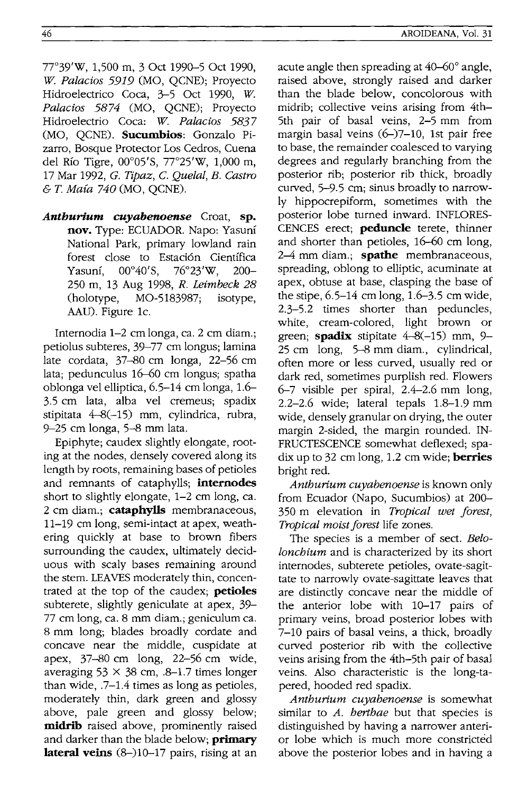46

7r39'W, 1,500 m, 3 Oct 1990-5 Oct 1990, *w. Palacios* 5919 (MO, QCNE); Proyecto Hidroelectrico Coca, 3-5 Oct 1990, *W Palacios* 5874 (MO, QCNE); Proyecto Hidroelectrio Coca: *W. Palacios* 5837 (MO, OCNE). **Sucumbios**: Gonzalo Pizarro, Bosque Protector Los Cedros, Cuena del Río Tigre,  $00^{\circ}05'$ S,  $77^{\circ}25'$ W,  $1,000$  m, 17 Mar 1992, G. *Tipaz,* C. *Quelal, B. Castro*  & T. Maia 740 (MO, QCNE).

*Anthurium cuyabenoense* Croat, **sp. nov.** Type: ECUADOR. Napo: Yasuni National Park, primary lowland rain forest close to Estaci6n Cientffica Yasuní, 00°40'S, 76°23'W, 200-250 m, 13 Aug 1998, *R. Leimbeck 28*  (holotype, MO-5183987; isotype, AAU). Figure Ie.

Internodia 1-2 cm longa, ca. 2 cm diam.; petiolus subteres, 39-77 cm longus; lamina late cordata, 37-80 cm longa, 22-56 cm lata; pedunculus 16-60 cm longus; spatha oblonga vel elliptica, 6.5-14 cm longa, 1.6- 3.5 cm lata, alba vel cremeus; spadix stipitata 4-8(-15) mm, cylindrica, rubra, 9-25 cm longa, 5-8 mm lata.

Epiphyte; caudex slightly elongate, rooting at the nodes, densely covered along its length by roots, remaining bases of petioles and remnants of cataphylls; **internodes**  short to slightly elongate, 1-2 cm long, ca. 2 cm diam.; **cataphylls** membranaceous, 11-19 cm long, semi-intact at apex, weathering quickly at base to brown fibers surrounding the caudex, ultimately deciduous with scaly bases remaining around the stem. LEAVES moderately thin, concentrated at the top of the caudex; **petioles**  subterete, slightly geniculate at apex, 39- 77 cm long, ca. 8 mm diam.; geniculum ca. 8 mm long; blades broadly cordate and concave near the middle, cuspidate at apex, 37-80 cm long, 22-56 cm wide, averaging  $53 \times 38$  cm, .8-1.7 times longer than wide, .7-1.4 times as long as petioles, moderately thin, dark green and glossy above, pale green and glossy below; **midrib** raised above, prominently raised and darker than the blade below; **primary lateral veins** (8–)10–17 pairs, rising at an acute angle then spreading at 40-60° angle, raised above, strongly raised and darker than the blade below, concolorous with midrib; collective veins arising from 4th-5th pair of basal veins, 2-5 mm from margin basal veins (6–)7–10. 1st pair free to base, the remainder coalesced to varying degrees and regularly branching from the posterior rib; posterior rib thick, broadly curved, 5-9.5 cm; sinus broadly to narrowly hippocrepiform, sometimes with the posterior lobe turned inward. INFLORES-CENCES erect; **peduncle** terete, thinner and shorter than petioles, 16-60 cm long, 2-4 mm diam.; **spathe** membranaceous, spreading, oblong to elliptic, acuminate at apex, obtuse at base, clasping the base of the stipe, 6.5-14 cm long, 1.6-3.5 cm wide, 2.3-5.2 times shorter than peduncles, white, cream-colored, light brown or green; **spadix** stipitate 4-8(-15) mm, 9- 25 cm long, 5-8 mm diam., cylindrical, often more or less curved, usually red or dark red, sometimes purplish red. Flowers 6-7 visible per spiral, 2.4-2.6 mm long, 2.2-2.6 wide; lateral tepals 1.8-1.9 mm wide, densely granular on drying, the outer margin 2-sided, the margin rounded. IN-FRUCTESCENCE somewhat deflexed; spadix up to 32 cm long, 1.2 cm Wide; **berries**  bright red.

*Anthurium cuyabenoense* is known only from Ecuador (Napo, Sucumbios) at 200- 350 m elevation in *Tropical wet forest, Tropical moist forest* life zones.

The species is a member of sect. *Belolonchium* and is characterized by its short internodes, subterete petioles, ovate-sagittate to narrowly ovate-sagittate leaves that are distinctly concave near the middle of the anterior lobe with 10-17 pairs of primary veins, broad posterior lobes with 7-10 pairs of basal veins, a thick, broadly curved posterior rib with the collective veins arising from the 4th-5th pair of basal veins. Also characteristic is the long-tapered, hooded red spadix.

*Anthurium cuyabenoense* is somewhat similar to *A. herthae* but that species is distinguished by having a narrower anterior lobe which is much more constricted above the posterior lobes and in having a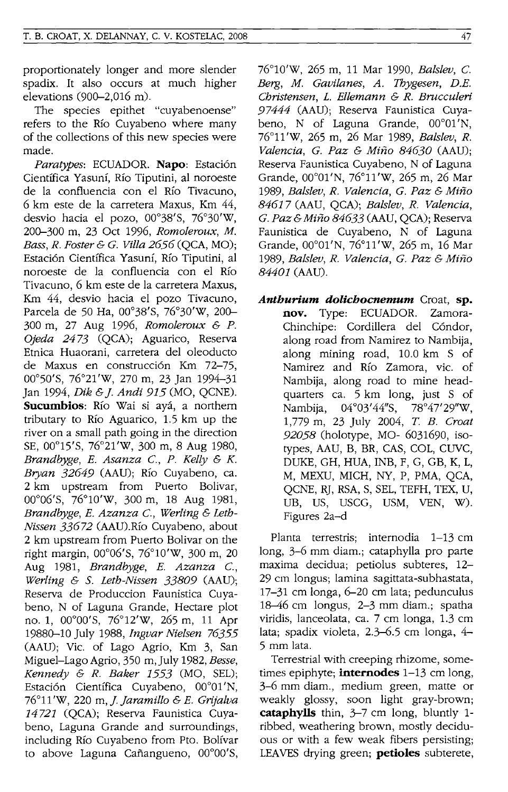proportionately longer and more slender spadix. It also occurs at much higher elevations (900-2,016 m).

The species epithet "cuyabenoense" refers to the Rio Cuyabeno where many of the collections of this new species were made.

Paratypes: ECUADOR. Napo: Estación Cientifica Yasuni, Rio Tiputini, al noroeste de la confluencia con el Rio Tivacuno, 6 km este de la carretera Maxus, Km 44, desvio hacia el pozo, 00°38'S, 76°30'W, 200-300 m, 23 Oct 1996, *Romoleroux, M. Bass, R. Foster* & *G. Villa* 2656 (QCA, MO); Estaci6n Cientifica Yasuni, Rio Tiputini, al noroeste de la confluencia con el Rio Tivacuno, 6 km este de la carretera Maxus, Km 44, desvio hacia el pozo Tivacuno, Parcela de 50 Ha, 00°38'S, 76°30'W, 200-300 m, 27 Aug 1996, *Romoleroux* & *P. Ojeda* 2473 (QCA); Aguarico, Reserva Etnica Huaorani, carretera del oleoducto de Maxus en construcción Km 72-75, 00°50'S, 76°21'W, 270 m, 23 Jan 1994-31 Jan 1994, *Dik* & *j. Andi* 915 (MO, QCNE). **Sucumbios:** Rio Wai si aya, a northern tributary to Rio Aguarico, 1.5 km up the river on a small path going in the direction SE, 00°15'S, 76°21'W, 300 m, 8 Aug 1980, *Brandbyge, E. Asanza* C, *P. Kelly* & *K. Bryan* 32649 (AAU); Rio Cuyabeno, ca. 2 km upstream from Puerto Bolivar, 00°06'S, 76°10'W, 300 m, 18 Aug 1981, *Brandbyge, E. Azanza* C, *Werling* & *Leth-Nissen* 33672 (AAU).Rio Cuyabeno, about 2 km upstream from Puerto Bolivar on the right margin, 00°06'S, 76°10'W, 300 m, 20 Aug 1981, *Brandbyge, E. Azanza* C, *Werling* & S. *Leth-Nissen 33809* (AAU); Reserva de Produccion Faunistica Cuyabeno, N of Laguna Grande, Hectare plot no. 1, 00°00'S, 76°12'W, 265 m, 11 Apr 19880-10 July 1988, *Ingvar Nielsen 76355*  (AAU); Vic. of Lago Agrio, Km 3, San Miguel-Lago Agrio, 350 m, July 1982, *Besse, Kennedy* & *R. Baker* 1553 (MO, SEL); Estación Científica Cuyabeno, 00°01'N, 76°11'W, 220 *m,].Jaramillo* & *E. Grijalva*  14721 (QCA); Reserva Faunistica Cuyabeno, Laguna Grande and surroundings, including Rio Cuyabeno from Pto. Bolivar to above Laguna Cañangueno, 00°00'S,

76°10'W, 265 m, 11 Mar 1990, *Batslev,* C *Berg, M. Gavilanes, A. Thygesen, D.E. Christensen,* L. *Ellemann* & *R. Brucculeri*  97444 (AAU); Reserva Faunistica Cuyabeno, N of Laguna Grande, 00°01'N, 76°11 'w, 265 m, 26 Mar 1989, *Batslev, R. Valencia, G. Paz* & *Mirzo 84630* (AAU); Reserva Faunistica Cuyabeno, N of Laguna Grande, 00°01 'N, 76°11 'w, 265 m, 26 Mar 1989, *Balslev, R. Valencia, G. Paz* & *Mirzo*  84617 (AAU, QCA); *Batslev, R. Valencia, G. Paz* & *Mirzo* 84633 (AAU, QCA); Reserva Faunistica de Cuyabeno, N of Laguna Grande, 00°01 'N, 76°11 'w, 265 m, 16 Mar 1989, *Batslev, R. Valencia, G. Paz* & *Mirzo 84401* (AAU).

*Anthurium dolichocnemum* Croat, **sp. nov.** Type: ECUADOR. Zamora-Chinchipe: Cordillera del C6ndor, along road from Namirez to Nambija, along mining road, 10.0 km S of Namirez and Rio Zamora, vic. of Nambija, along road to mine headquarters ca. 5 km long, just S of Nambija, 04°03'44"S, 78°47'29"W, 1,779 m, 23 July 2004, *T B. Croat 92058* (holotype, MO- 6031690, isotypes, AAU, B, BR, CAS, COL, CUVC, DUKE, GH, HUA, INB, F, G, GB, K, L, M, MEXU, MICH, NY, P, PMA, QCA, QCNE, RJ, RSA, S, SEL, TEFH, TEX, U, UB, US, USCG, USM, YEN, W). Figures 2a-d

Planta terrestris; internodia 1-13 cm long, 3-6 mm diam.; cataphylla pro parte maxima decidua; petiolus subteres, 12- 29 cm longus; lamina sagittata-subhastata, 17-31 cm longa, 6-20 cm lata; pedunculus 18-46 cm longus, 2-3 mm diam.; spatha viridis, lanceolata, ca. 7 cm longa, 1.3 cm lata; spadix violeta, 2.3-6.5 cm longa, 4- 5 mm lata.

Terrestrial with creeping rhizome, sometimes epiphyte; **internodes** 1-13 cm long, 3-6 mm diam., medium green, matte or weakly glossy, soon light gray-brown; **cataphylls** thin, 3-7 cm long, bluntly 1 ribbed, weathering brown, mostly deciduous or with a few weak fibers persisting; LEAVES drying green; **petioles** subterete,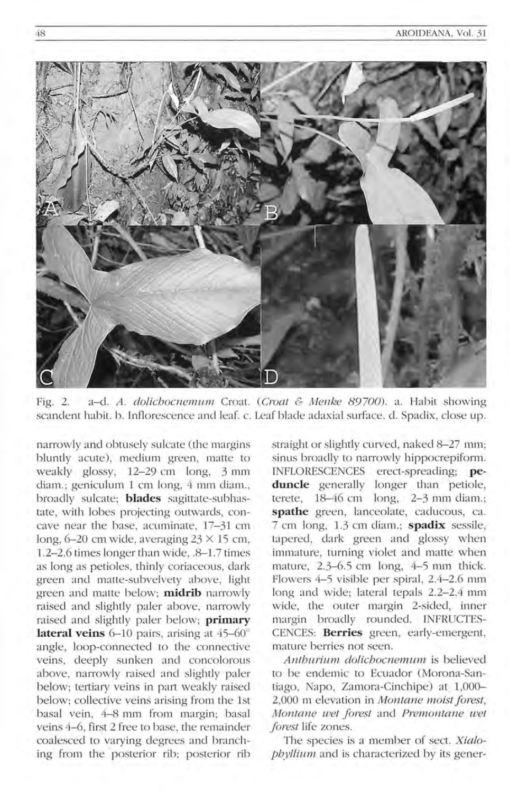

Fig. 2. a-d. *A. dolichocnemum* Croat. *(Croat & Menke 89700).* a. Habit showing scandent habit. b. Inflorescence and leaf. c. Leaf blade adaxial surface. d. Spadix, close up.

narrowly and obtusely sulcate (the margins bluntly acute), medium green, matte to weakly glossy, 12-29 cm long, 3 mm diam.; geniculum 1 cm long, 4 mm diam., broadly sulcate; **blades** sagittate-subhastate, with lobes projecting outwards, concave near the base, acuminate, 17-31 cm long,  $6-20$  cm wide, averaging  $23 \times 15$  cm, 1.2-2.6 times longer than wide, .8-1.7 times as long as petioles, thinly coriaceous, dark green and matte-subvelvety above, light green and matte below; **ntidrib** narrowly raised and slightly paler above, narrowly raised and slightly paler below; **primary lateral veins**  $6-10$  pairs, arising at  $45-60^\circ$ angle, loop-connected to the connective veins, deeply sunken and concolorous above, narrowly raised and slightly paler below; tertiary veins in part weakly raised below; collective veins arising from the 1st basal vein, 4-8 mm from margin; basal veins 4-6, first 2 free to base, the remainder coalesced to varying degrees and branching from the posterior rib; posterior rib straight or slightly curved, naked 8-27 mm; sinus broadly to narrowly hippocrepiform. INFLORESCENCES erect-spreading; **pe**duncle generally longer than petiole, terete,  $18-46$  cm long,  $2-3$  mm diam.; spathe green, lanceolate, caducous, ca. 7 cm long, 1.3 cm diam.; **spadix** sessile, tapered, dark green and glossy when immature, turning violet and matte when mature,  $2.3-6.5$  cm long,  $4-5$  mm thick. Flowers 4-5 visible per spiral, 2.4-2.6 mm long and wide; lateral tepals 2.2-2.4 mm wide, the outer margin 2-sided, inner margin broadly rounded. INFRUCTES-CENCES: Berries green, early-emergent, mature berries not seen.

*Anthurium dolichocnemum* is believed to be endemic to Ecuador (Morona-Santiago, Napo, Zamora-Cinchipe) at 1,000-2,000 m elevation in *Montane moist forest*, *JIIIontane wet forest* and *Premontane wet forest* life zones.

The species is a member of sect. *Xialophyllium* and is characterized by its gener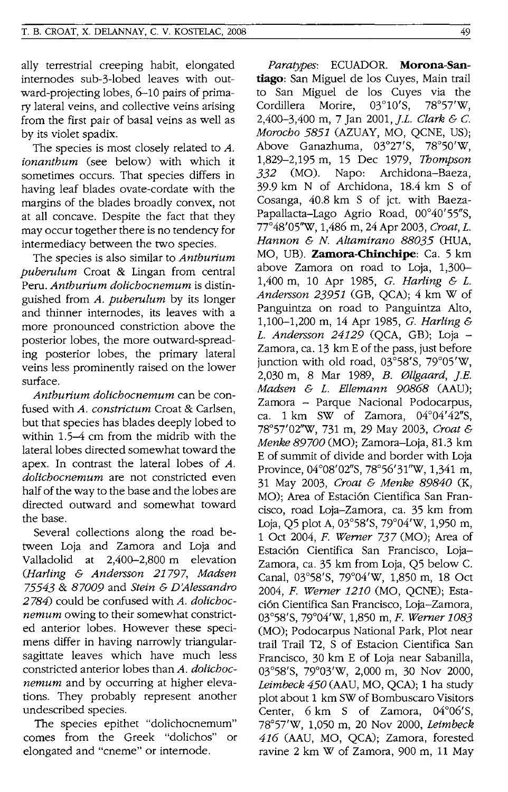ally terrestrial creeping habit, elongated internodes sub-3-lobed leaves with outward-projecting lobes, 6-10 pairs of primary lateral veins, and collective veins arising from the first pair of basal veins as well as by its violet spadix.

The species is most closely related to A. *ionantbum* (see below) with which it sometimes occurs. That species differs in having leaf blades ovate-cordate with the margins of the blades broadly convex, not at all concave. Despite the fact that they may occur together there is no tendency for intermediacy between the two species.

The species is also similar to *Antburium puberulum* Croat & Lingan from central Peru. *Antburium dolicbocnemum* is distinguished from *A. puberulum* by its longer and thinner internodes, its leaves with a more pronounced constriction above the posterior lobes, the more outward-spreading posterior lobes, the primary lateral veins less prominently raised on the lower surface.

*Antburium dolicbocnemum* can be confused with *A. constrictum* Croat & Carlsen, but that species has blades deeply lobed to within 1.5-4 cm from the midrib with the lateral lobes directed somewhat toward the apex. In contrast the lateral lobes of A. *dolicbocnemum* are not constricted even half of the way to the base and the lobes are directed outward and somewhat toward the base.

Several collections along the road between Loja and Zamora and Loja and Valladolid at 2,400-2,800 m elevation *(JIarling* & *Andersson* 21797, *Madsen*  75543 & *87009* and *Stein* & *D'Alessandro*  2784) could be confused with *A. dolicbocnemum* owing to their somewhat constricted anterior lobes. However these specimens differ in having narrowly triangularsagittate leaves which have much less constricted anterior lobes than *A. dolicbocnemum* and by occurring at higher elevations. They probably represent another undescribed species.

The species epithet "dolichocnemum" comes from the Greek "dolichos" or elongated and "cneme" or internode.

*Paratypes:* ECUADOR. **Morona-San**tiago: San Miguel de los Cuyes, Main trail to San Miguel de los Cuyes via the<br>Cordillera Morire, 03°10'S, 78°57'W, Cordillera Morire, 03°10'S, 78°57'W, 2,400-3,400 m, 7 Jan 2001, *J.L. Clark* & c. *Morocbo* 5851 (AZUAY, MO, QCNE, US); Above Ganazhuma, 03°27'S, 78°50'W, 1,829-2,195 m, 15 Dec 1979, *Thompson*  332 (MO). Napo: Archidona-Baeza, 39.9 km N of Archidona, 18.4 km S of Cosanga, 40.8 km S of jet. with Baeza-Papallacta-Lago Agrio Road, 00°40'55"S, 77°48'05''W, 1,486 m, 24 Apr 2003, *Croat,* L. *Hannon* & N. *Altamirano 88035* (HUA, MO, UB). **Zamora-Chinchipe:** Ca. 5 km above Zamora on road to Loja, 1,300- 1,400 m, 10 Apr 1985, *G. Harling* & L. *Andersson* 23951 (GB, QCA); 4 km W of Panguintza on road to Panguintza Alto, 1,100-1,200 m, 14 Apr 1985, *G. Harling* & L. *Andersson* 24129 (QCA, GB); Loja - Zamora, ca. 13 km E of the pass, just before junction with old road, 03°58'S, 79°05'W, 2,030 m, 8 Mar 1989, *B. 011gaard, j.E. Madsen* & L. *Ellemann 90868* (AAU); Zamora - Parque Nacional Podocarpus, ca.  $1 \text{ km}$  SW of Zamora,  $04^{\circ}04'42''\text{S}$ , 78°57'02''W, 731 m, 29 May 2003, *Croat* & *Menke 89700* (MO); Zamora-Loja, 81.3 km E of summit of divide and border with Loja Province, 04°08'02"S, 78°56'31''W, 1,341 m, 31 May 2003, *Croat* & *Menke 89840* (K, MO); Area of Estación Cientifica San Francisco, road Loja-Zamora, ca. 35 km from Loja, Q5 plot A, 03°58'S, 79°04'W, 1,950 m, 1 Oct 2004, *F. Werner* 737 (MO); Area of Estaci6n Cientifica San Francisco, Loja-Zamora, ca. 35 km from Loja, Q5 below C. Canal, 03°58'S, 79°04'W, 1,850 m, 18 Oct *2004, F. Werner 1210* (MO, QCNE); Estaci6n Cientifica San Francisco, Loja-Zamora, 03°58'S, 79°04'W, 1,850 m, *F. Werner 1083*  (MO); Podocarpus National Park, Plot near trail Trail T2, S of Estacion Cientifica San Francisco, 30 km E of Loja near Sabanilla, 03°58'S, 79°03'W, 2,000 m, 30 Nov 2000, *Leimbeck 450* (AAU, MO, QCA); 1 ha study plot about 1 km SW of Bombuscaro Visitors Center, 6 km S of Zamora, 04°06'S, 78°57'W, 1,050 m, 20 Nov 2000, *Leimbeck*  416 (AAU, MO, QCA); Zamora, forested ravine 2 km W of Zamora, 900 m, 11 May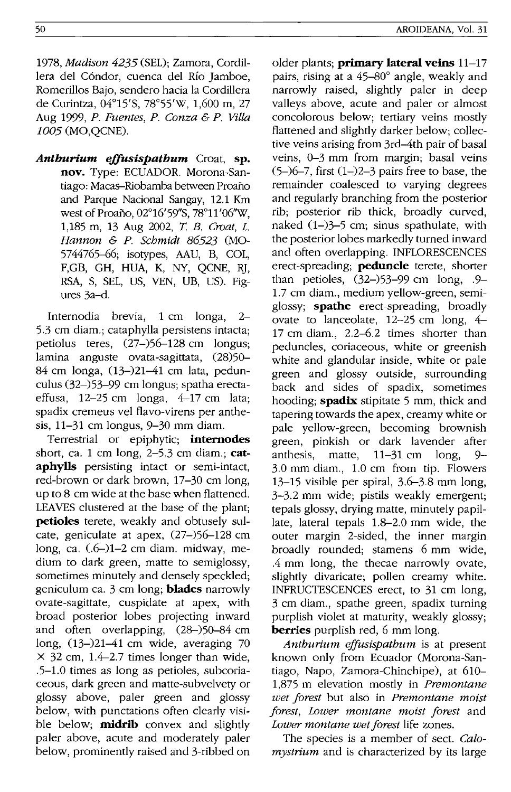*1978, Madison* 4235 (SEL); Zamora, Cordillera del C6ndor, cuenca del Rio Jamboe, Romerillos Bajo, sendero hacia la Cordillera de Curintza, 04°15'S, 78°55'W, 1,600 m, 27 Aug 1999, *P. Fuentes, P. Conza* & *P. Villa*  1005 (MO,QCNE).

*Anthurium effusispathum* Croat, **sp. nov.** Type: ECUADOR. Morona-Santiago: Macas-Riobamba between Proano and Parque Nacional Sangay, 12.1 Km west of Proaño, 02°16'59"S, 78°11'06"W, 1,185 m, 13 Aug 2002, *T B. Croat,* L. *Hannon* & *p. Schmidt* 86523 (MO-5744765-66; isotypes, AAU, B, COL, F,GB, GH, HUA, K, NY, QCNE, RJ, RSA, S, SEL, US, YEN, UB, US). Figures 3a-d.

Internodia brevia, 1 cm longa, 2- 5.3 cm diam.; cataphylla persistens intacta; petiolus teres, (27-)56-128 cm longus; lamina anguste ovata-sagittata, (28)50- 84 cm longa, (13-)21-41 cm lata, pedunculus (32-)53-99 cm longus; spatha erectaeffusa, 12-25 cm longa, 4-17 cm lata; spadix cremeus vel flavo-virens per anthesis, 11-31 cm longus, 9-30 mm diam.

Terrestrial or epiphytic; **internodes**  short, ca. 1 cm long, 2-5.3 cm diam.; **cataphylls** persisting intact or semi-intact, red-brown or dark brown, 17-30 cm long, up to 8 cm wide at the base when flattened. LEAVES clustered at the base of the plant; **petioles** terete, weakly and obtusely sulcate, geniculate at apex, (27-)56-128 cm long, ca. (.6-)1-2 cm diam. midway, medium to dark green, matte to semiglossy, sometimes minutely and densely speckled; geniculum ca. 3 cm long; **blades** narrowly ovate-sagittate, cuspidate at apex, with broad posterior lobes projecting inward and often overlapping, (28-)50-84 cm long, (13-)21-41 cm wide, averaging 70  $\times$  32 cm, 1.4–2.7 times longer than wide, .5-l.0 times as long as petioles, subcoriaceous, dark green and matte-subvelvety or glossy above, paler green and glossy below, with punctations often clearly visible below; **midrib** convex and slightly paler above, acute and moderately paler below, prominently raised and 3-ribbed on older plants; **primary lateral veins** 11-17 pairs, rising at a 45-80° angle, weakly and narrowly raised, slightly paler in deep valleys above, acute and paler or almost concolorous below; tertiary veins mostly flattened and slightly darker below; collective veins arising from 3rd-4th pair of basal veins, 0-3 mm from margin; basal veins  $(5-6-7,$  first  $(1-2-3)$  pairs free to base, the remainder coalesced to varying degrees and regularly branching from the posterior rib; posterior rib thick, broadly curved, naked  $(1-)3-5$  cm; sinus spathulate, with the posterior lobes markedly turned inward and often overlapping. INFLORESCENCES erect-spreading; **peduncle** terete, shorter than petioles, (32-)53-99 cm long, .9 l.7 cm diam., medium yellow-green, semiglossy; **spathe** erect-spreading, broadly ovate to lanceolate, 12-25 cm long, 4- 17 cm diam., 2.2-6.2 times shorter than peduncles, coriaceous, white or greenish white and glandular inside, white or pale green and glossy outside, surrounding back and sides of spadix, sometimes hooding; **spadix** stipitate 5 mm, thick and tapering towards the apex, creamy white or pale yellow-green, becoming brownish green, pinkish or dark lavender after anthesis, matte, 11-31 cm long, 9- 3.0 mm diam., l.0 cm from tip. Flowers 13-15 visible per spiral, 3.6-3.8 mm long, 3-3.2 mm wide; pistils weakly emergent; tepals glossy, drying matte, minutely papillate, lateral tepals 1.8-2.0 mm wide, the outer margin 2-sided, the inner margin broadly rounded; stamens 6 mm wide, .4 mm long, the thecae narrowly ovate, slightly divaricate; pollen creamy white. INFRUCTESCENCES erect, to 31 cm long, 3 cm diam., spathe green, spadix turning purplish violet at maturity, weakly glossy; **berries** purplish red, 6 mm long.

*Anthurium effusispathum* is at present known only from Ecuador (Morona-Santiago, Napo, Zamora-Chinchipe), at 610- 1,875 m elevation mostly in *Premontane wet forest* but also in *Premontane moist forest, Lower montane moist forest* and *Lower montane wet forest* life zones.

The species is a member of sect. *Calomystrium* and is characterized by its large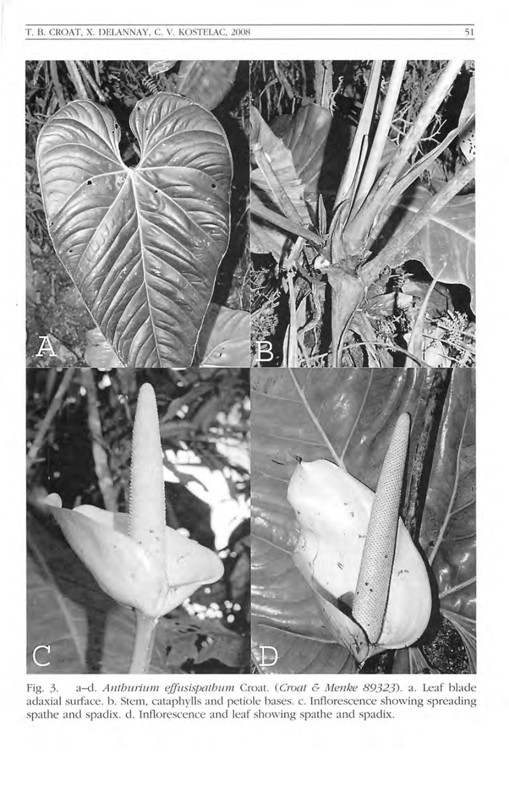

Fig. 3. a-d. *Anthurium effusispathum Croat. (Croat & Menke 89323).* a. Leaf blade adaxial surface. b. Stem, cataphylls and petiole bases. c. Inflorescence showing spreading spathe and spadix. d. Inflorescence and leaf showing spathe and spadix.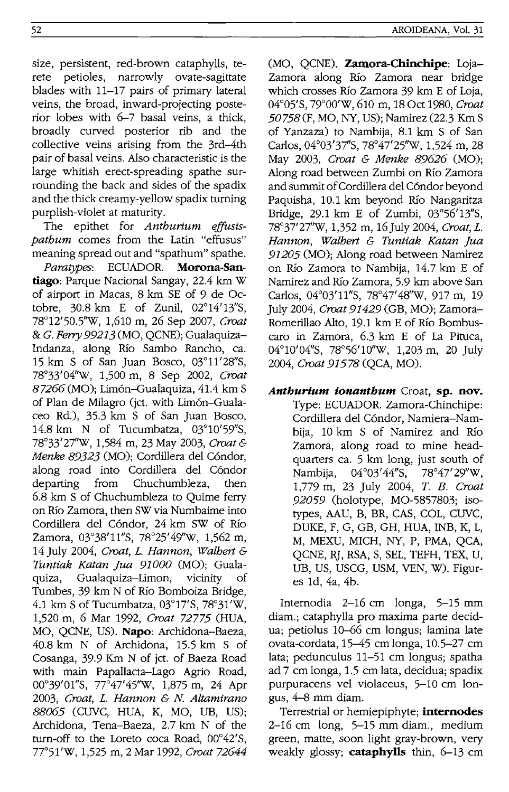size, persistent, red-brown cataphylls, terete petioles, narrowly ovate-sagittate blades with 11-17 pairs of primary lateral veins, the broad, inward-projecting posterior lobes with 6-7 basal veins, a thick, broadly curved posterior rib and the collective veins arising from the 3rd-4th pair of basal veins. Also characteristic is the large whitish erect-spreading spathe surrounding the back and sides of the spadix and the thick creamy-yellow spadix turning purplish-violet at maturity.

The epithet for *Anthurium effusispathum* comes from the Latin "effusus" meaning spread out and "spathum" spathe.

*Paratypes:* ECUADOR. Morona-Santiago: Parque Nacional Sangay, 22.4 km W of airport in Macas, 8 km SE of 9 de Octobre, 30.8 km E of Zunil, 02°14' 13"S, 78° 12' 50.5''W, 1,610 m, 26 Sep 2007, *Croat &* G. Ferry 99213 (MO, QCNE); Gualaquiza-Indanza, along Rio Sambo Rancho, ca. 15 km S of San Juan Bosco,  $03^{\circ}11'28''S$ , 78°33'04''W, 1,500 m, 8 Sep 2002, *Croat*  87266 (MO); Lim6n-Gualaquiza, 41.4 km S of Plan de Milagro (jct. with Lim6n-Gualaceo Rd.), 35.3 km S of San Juan Bosco, 14.8 km N of Tucumbatza, 03°10'59"S, 78°33'27''W, 1,584 m, 23 May 2003, *Croat* & *Menke* 89323 (MO); Cordillera del C6ndor, along road into Cordillera del C6ndor departing from Chuchumbleza, then 6.8 km S of Chuchumbleza to Quime ferry on Rio Zamora, then SW via Numbaime into Cordillera del C6ndor, 24 km SW of Rio Zamora, 03°38' l1"S, 78°25'49''W, 1,562 m, 14 July 2004, *Croat,* L. *Hannon, Walhert* & *Tuntiak Katan jua 91000* (MO); Gualaquiza, Gualaquiza-Limon, vicinity of Tumbes, 39 km N of Rio Bomboiza Bridge, 4.1 km S of Tucumbatza, 03°17'S, 78°31'W, 1,520 m, 6 Mar 1992, *Croat* 72775 (HUA, MO, QCNE, US). Napo: Archidona-Baeza, 40.8 km N of Arehidona, 15.5 km S of Cosanga, 39.9 Km N of jct. of Baeza Road with main Papallacta-Lago Agrio Road, 00°39'01"S, 77°47'45"W, 1,875 m, 24 Apr *2003, Croat,* L. *Hannon* & *N. Altamirano 88065* (CUVC, HUA, K, MO, *VB,* US); Archidona, Tena-Baeza, 2.7 km N of the turn-off to the Loreto coca Road,  $00^{\circ}42'$ S, 77°51'W, 1,525 m, 2 Mar 1992, *Croat 72644* 

(MO, OCNE). Zamora-Chinchipe: Loja-Zamora along Rio Zamora near bridge which crosses Rio Zamora 39 km E of Loja, 04°05'S, 79°00'W, 610 m, 18 Oet 1980, *Croat 50758* (F, MO, NY, US); Namirez (22.3 Km S of Yanzaza) to Nambija, 8.1 km S of San Carlos, 04°03'37"S, 78°47'25''W, 1,524 m, 28 May 2003, *Croat* & *Menke* 89626 (MO); Along road between Zumbi on Rio Zamora and summit of Cordillera del C6ndor beyond Paquisha, 10.1 km beyond Rio Nangaritza Bridge, 29.1 km E of Zumbi, 03°56' 13"S, 78°37'27''W, 1,352 m, 16 July 2004, *Croat,* L. *Hannon, Walhert* & *Tuntiak Katan jua 91205* (MO); Along road between Namirez on Rio Zamora to Nambija, 14.7 km E of Namirez and Rio Zamora, 5.9 km above San Carlos, 04°03' l1"S, 78°47'48''W, 917 m, 19 July 2004, *Croat* 91429 (GB, MO); Zamora-Romerillao Alto, 19.1 km E of Rio Bombuscaro in Zamora, 6.3 km E of La Pituca, 04°10'04"S, 78°56'10"W, 1,203 m, 20 July *2004, Croat* 91578 (QCA, MO).

*Anthurium ionanthum* Croat, sp. nov. Type: ECUADOR. Zamora-Chinchipe: Cordillera del C6ndor, Namiera-Nambija, 10 km S of Namirez and Rio Zamora, along road to mine headquarters ca. 5 km long, just south of Nambija, 04°03'44"S, 78°47'29"W, 1,779 m, 23 July 2004, T. *B. Croat 92059* (holotype, MO-5857803; isotypes, AAU, B, BR, CAS, COL, CUVC, DUKE, F, G, GB, GH, HUA, INB, K, L, M, MEXU, MICH, NY, P, PMA, QCA, QCNE, RJ, RSA, S, SEL, TEFH, TEX, U, UB, US, USCG, USM, YEN, W). Figures Id, 4a, 4b.

Internodia 2-16 cm longa, 5-15 mm diam.; cataphylla pro maxima parte decidua; petiolus 10-66 cm longus; lamina late ovata-cordata, 15-45 cm longa, 10.5-27 cm lata; pedunculus 11-51 em longus; spatha ad 7 cm longa, 1.5 em lata, decidua; spadix purpuracens vel violaeeus, 5-10 cm longus, 4-8 mm diam.

Terrestrial or hemiepiphyte; **internodes** 2-16 cm long, 5-15 mm diam., medium green, matte, soon light gray-brown, very weakly glossy; **cataphylls** thin,  $6-13$  cm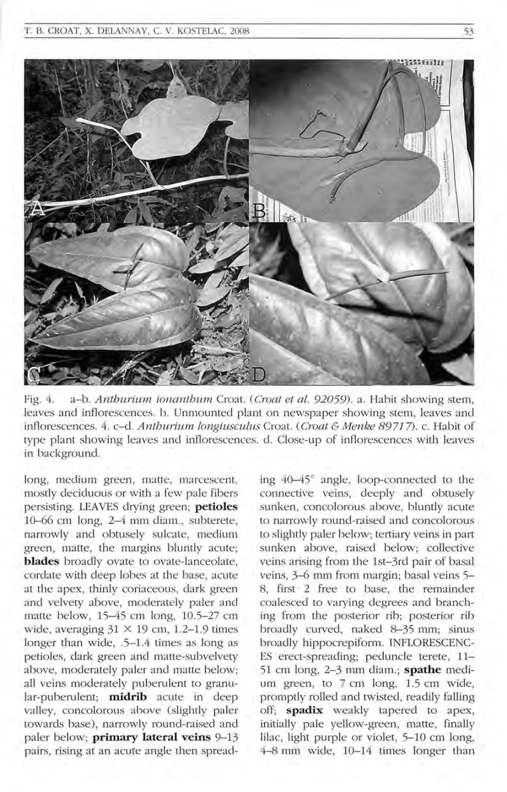

Fig. 4. a-b. Anthurium ionanthum Croat. (Croat et al. 92059). a. Habit showing stem, leaves and inflorescences. b. Unmounted plant on newspaper showing stem, leaves and inflorescences. 4. c-d. Anthurium longiusculus Croat. (Croat  $\mathfrak c$  Menke 89717). c. Habit of type plant showing leaves and inflorescences. d. Close-up of inflorescences with leaves in background.

long, medium green, matte, marcescent, mostly deciduous or with a few pale fibers persisting. LEA YES drying green; **petioles**  10-66 cm long, 2-4 mm diam., subterete, narrowly and obtusely sulcate, medium green, matte, the margins bluntly acute; **blades** broadly ovate to ovate-lanceolate, cordate with deep lobes at the base, acute at the apex, thinly coriaceous, dark green and velvety above, moderately paler and matte below, 15-45 cm long, 10.5-27 cm wide, averaging  $31 \times 19$  cm, 1.2-1.9 times longer than wide, .5-1.4 times as long as petioles, dark green and matte-subvelvety above, moderately paler and matte below; all veins moderately puberulent to granular-puberulent; **midrib** acute in deep valley, concolorous above (slightly paler towards base), narrowly round-raised and paler below; **primary lateral veins** 9-13 pairs, rising at an acute angle then spreading 40-45° angle, loop-connected to the connective veins, deeply and obtusely sunken, concolorous above, bluntly acute to narrowly round-raised and concolorous to slightly paler below; tertiary veins in part sunken above, raised below; collective veins arising from the 1st-3rd pair of basal veins, 3-6 mm from margin; basal veins 5-8, first 2 free to base, the remainder coalesced to varying degrees and branching from the posterior rib; posterior rib broadly curved, naked 8-35 mm; sinus broadly hippocrepiform. INFLORESCENC-ES erect-spreading; peduncle terete, 11- 51 cm long, 2-3 mm diam.; **spathe** medium green, to 7 cm long, 1.5 cm wide, promptly rolled and twisted, readily falling off; **spadix** weakly tapered to apex, initially pale yellow-green, matte, finally lilac, light purple or violet, 5-10 cm long, 4-8 mm wide, 10-14 times longer than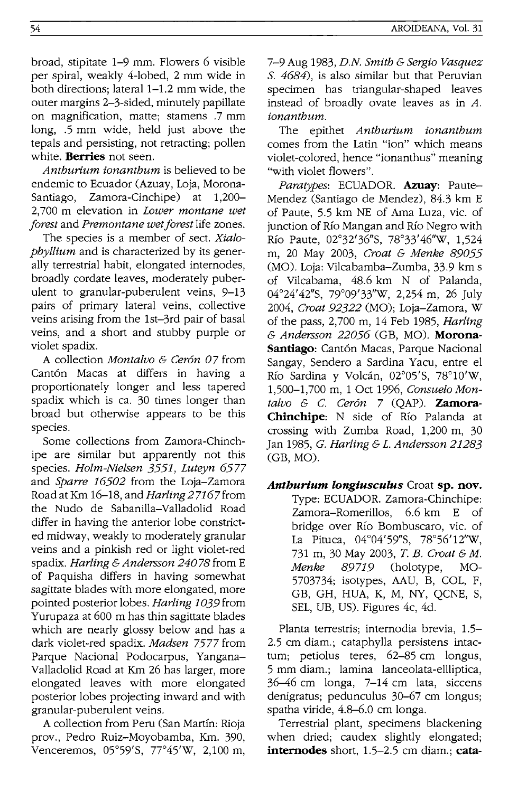broad, stipitate 1-9 mrn. Flowers 6 visible per spiral, weakly 4-lobed, 2 mm wide in both directions; lateral 1-1.2 mm wide, the outer margins 2-3-sided, minutely papillate on magnification, matte; stamens .7 mm long, .5 mm wide, held just above the tepals and persisting, not retracting; pollen white. **Berries** not seen.

*Anthurium ionanthum* is believed to be endemic to Ecuador (Azuay, Loja, Morona-<br>Santiago. Zamora-Cinchipe) at 1.200-Santiago, Zamora-Cinchipe) at 2,700 m elevation in *Lower montane wet forest* and *Premontane wet forest* life zones.

The species is a member of sect. *Xialophyllium* and is characterized by its generally terrestrial habit, elongated internodes, broadly cordate leaves, moderately puberulent to granular-puberulent veins, 9-13 pairs of primary lateral veins, collective veins arising from the 1st-3rd pair of basal veins, and a short and stubby purple or violet spadix.

A collection *Montalvo* & *Ceron 07* from Cantón Macas at differs in having a proportionately longer and less tapered spadix which is ca. 30 times longer than broad but otherwise appears to be this species.

Some collections from Zamora-Chinchipe are similar but apparently not this species. *Holm-Nielsen* 3551, *Luteyn 6577*  and *Sparre 16502* from the Loja-Zamora Road at Km 16-18, and *Harling* 2 7167 from the Nudo de Sabanilla-Valladolid Road differ in having the anterior lobe constricted midway, weakly to moderately granular veins and a pinkish red or light violet-red spadix. *Harling* & *Andersson 24078* from E of Paquisha differs in having somewhat sagittate blades with more elongated, more pointed posterior lobes. *Harling 1039* from Yurupaza at 600 m has thin sagittate blades which are nearly glossy below and has a dark violet-red spadix. *Madsen* 7577 from Parque Nacional Podocarpus, Yangana-Valladolid Road at Km 26 has larger, more elongated leaves with more elongated posterior lobes projecting inward and with granular-puberulent veins.

A collection from Peru (San Martin: Rioja prov., Pedro Ruiz-Moyobamba, Km. 390, Venceremos, 05°59'S, 77°45'W, 2,100 m, 7-9 Aug 1983, *D.N. Smith* & *Sergio Vasquez*  S. 4684), is also similar but that Peruvian specimen has triangular-shaped leaves instead of broadly ovate leaves as in *A. ionanthum.* 

The epithet *Anthurium ionanthum*  comes from the Latin "ion" which means violet-colored, hence "ionanthus'" meaning "with violet flowers".

*Paratypes:* ECUADOR. **Azuay:** Paute-Mendez (Santiago de Mendez), 84.3 km E of Paute, 5.5 km NE of Ama Luza, vic. of junction of Río Mangan and Río Negro with RIO Paute, 02°32'36"S, 78°33'46"w, 1,524 m, 20 May 2003, *Croat* & *Menke 89055*  (MO). Loja: Vilcabamba-Zumba, 33.9 km s of Vilcabama, 48.6 km N of Palanda, 04°24'42"S, 79°09'33''W, 2,254 m, 26 July *2004, Croat* 92322 (MO); Loja-Zamora, W of the pass, 2,700 m, 14 Feb 1985, *Harling*  & *Andersson 22056* (GB, MO). **Morona-**Santiago: Cantón Macas, Parque Nacional Sangay, Sendero a Sardina Yacu, entre el Río Sardina y Volcán, 02°05'S, 78°10'W, 1,500-1,700 m, 1 Oct 1996, *Consuela Montalvo* & c. *Ceron* 7 (QAP). **Zamora-**Chinchipe: N side of Río Palanda at crossing with Zumba Road, 1,200 m, 30 Jan 1985, *G. Harling* & *L. Andersson 21283*  (GB, MO).

*Anthurium longiusculus* Croat **sp. nov.**  Type: ECUADOR. Zamora-Chinchipe:<br>Zamora-Romerillos 66 km E of Zamora-Romerillos, bridge over Rio Bombuscaro, vic. of La Pituca, 04°04'59"S, 78°56' 12"W, 731 m, 30 May 2003, T. *B. Croat* & *M. Menke* 89719 (holotype, MO-5703734; isotypes, AAU, B, COL, F, GB, GH, HUA, K, M, NY, QCNE, S, SEL, UB, US). Figures 4c, 4d.

Planta terrestris; internodia brevia, 1.5- 2.5 cm diam.; cataphylla persistens intactum; petiolus teres, 62-85 cm longus, 5 mrn diam.; lamina lanceolata-ellliptica, 36-46 cm longa, 7-14 cm lata, siccens denigratus; pedunculus 30-67 cm longus; spatha viride, 4.8–6.0 cm longa.

Terrestrial plant, specimens blackening when dried; caudex slightly elongated; **internodes** short, 1.5-2.5 cm diam.; **cata-**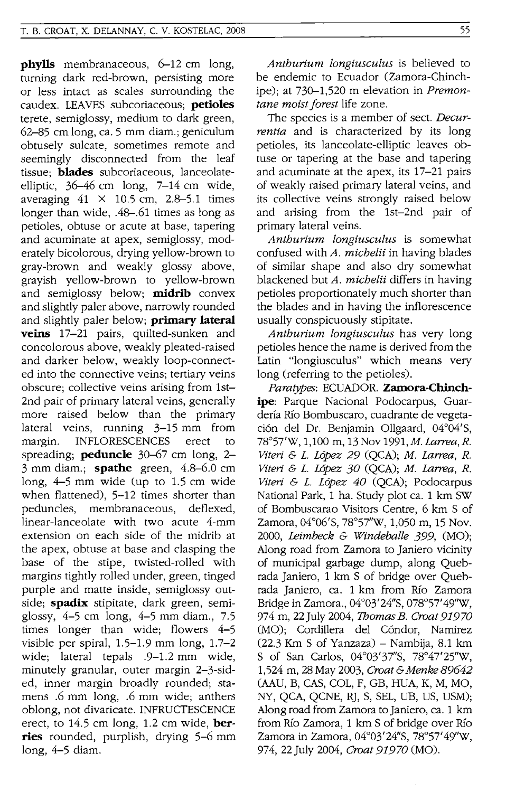**phylls** membranaceous, 6–12 cm long, turning dark red-brown, persisting more or less intact as scales surrounding the caudex. LEA YES subcoriaceous; **petioles**  terete, semiglossy, medium to dark green, 62-85 cm long, ca. 5 mm diam.; geniculum obtusely sulcate, sometimes remote and seemingly disconnected from the leaf tissue; **blades** subcoriaceous, lanceolateelliptic, 36-46 cm long, 7-14 cm wide, averaging  $41 \times 10.5$  cm, 2.8-5.1 times longer than wide, .48-.61 times as long as petioles, obtuse or acute at base, tapering and acuminate at apex, semiglossy, moderately bicolorous, drying yellow-brown to gray-brown and weakly glossy above, grayish yellow-brown to yellow-brown and semiglossy below; **midrib** convex and slightly paler above, narrowly rounded and slightly paler below; **primary lateral veins** 17-21 pairs, quilted-sunken and concolorous above, weakly pleated-raised and darker below, weakly loop-connected into the connective veins; tertiary veins obscure; collective veins arising from 1st-2nd pair of primary lateral veins, generally more raised below than the primary lateral veins, running 3-15 mm from margin. INFLORESCENCES erect to spreading; **peduncle** 30-67 cm long, 2- 3 mm diam.; **spathe** green, 4.8-6.0 cm long, 4-5 mm wide (up to 1.5 cm wide when flattened), 5-12 times shorter than peduncles, membranaceous, deflexed, linear-lanceolate with two acute 4-mm extension on each side of the midrib at the apex, obtuse at base and clasping the base of the stipe, twisted-rolled with margins tightly rolled under, green, tinged purple and matte inside, semiglossy outside; **spadix** stipitate, dark green, semiglossy, 4-5 cm long, 4-5 mm diam., 7.5 times longer than wide; flowers 4-5 visible per spiral, 1.5-1.9 mm long, 1.7-2 wide; lateral tepals .9-1.2 mm wide, minutely granular, outer margin 2-3-sided, inner margin broadly rounded; stamens .6 mm long, .6 mm wide; anthers oblong, not divaricate. INFRUCTESCENCE erect, to 14.5 cm long, 1.2 cm wide, **berries** rounded, purplish, drying 5-6 mm long, 4-5 diam.

*Anthurium !ongiuscu!us* is believed to be endemic to Ecuador (Zamora-Chinchipe); at 730-1,520 m elevation in *Premontane moist forest* life zone.

The species is a member of sect. *Decurrentia* and is characterized by its long petioles, its lanceolate-elliptic leaves obtuse or tapering at the base and tapering and acuminate at the apex, its 17-21 pairs of weakly raised primary lateral veins, and its collective veins strongly raised below and arising from the 1st-2nd pair of primary lateral veins.

*Anthurium !ongiuscu!us* is somewhat confused with *A. michelii* in having blades of similar shape and also dry somewhat blackened but *A. michelii* differs in having petioles proportionately much shorter than the blades and in having the inflorescence usually conspicuously stipitate.

*Anthurium !ongiusculus* has very long petioles hence the name is derived from the Latin "longiusculus" which means very long (referring to the petioles).

*Paratypes:* ECUADOR. **Zamora-Chinchipe:** Parque Nacional Podocarpus, Guarderfa Rio Bombuscaro, cuadrante de vegetación del Dr. Benjamin Ollgaard, 04°04'S, 78°57'W, 1,100 m, 13 Nov *1991,M. Larwa,R. Viteri & L. López 29* (QCA); M. Larrea, R. *Viteri* & *L.* Lopez 30 (QCA); M. *Larwa, R. Viteri & L. López 40* (QCA); Podocarpus National Park, 1 ha. Study plot ca. 1 km SW of Bombuscarao Visitors Centre, 6 km S of Zamora, 04°06's, 78°57''W, 1,050 m, 15 Nov. 2000, *Leimbeck* & *Windeba!!e* 399, (MO); Along road from Zamora to Janiero vicinity of municipal garbage dump, along Quebrada Janiero, 1 km S of bridge over Quebrada Janiero, ca. 1 km from Rio Zamora Bridge in Zamora., 04°03'24"S, 078°57'49''W, 974 m, 22 July 2004, *Thomas B. Croat 91970*  (MO); Cordillera del Cóndor, Namirez  $(22.3$  Km S of Yanzaza) – Nambija, 8.1 km S of San Carlos, 04°03'37"S, 78°47' 25''W, 1 ,524 m, 28 May 2003, *Croat* & *Menke 89642*  (AAU, B, CAS, COL, F, GB, HUA, K, M, MO, NY, QCA, QCNE, RJ, S, SEL, DB, US, USM); Along road from Zamora to Janiero, ca. 1 km from Rio Zamora, 1 km S of bridge over Rio Zamora in Zamora, 04°03'24"S, 78°57' 49''W, 974, 22 July 2004, *Croat 91970* (MO).